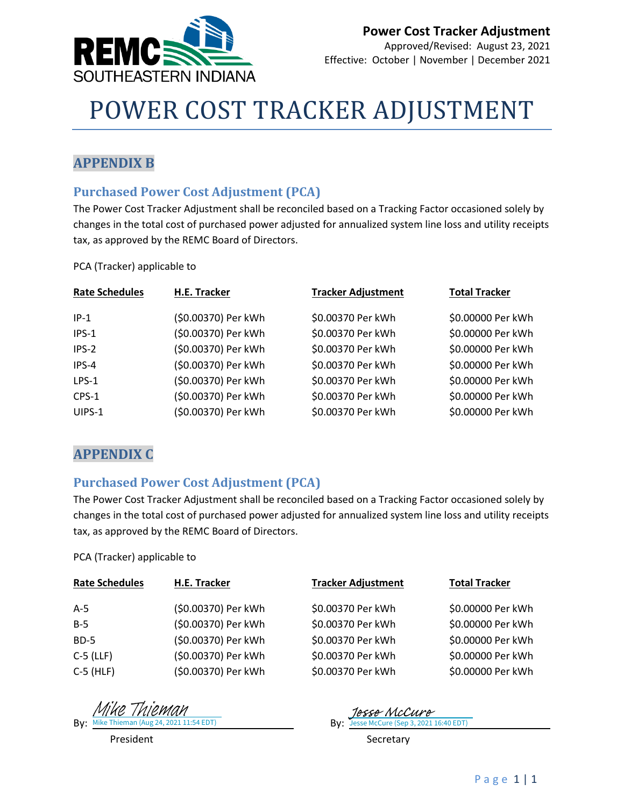

# POWER COST TRACKER ADJUSTMENT

#### **APPENDIX B**

#### **Purchased Power Cost Adjustment (PCA)**

The Power Cost Tracker Adjustment shall be reconciled based on a Tracking Factor occasioned solely by changes in the total cost of purchased power adjusted for annualized system line loss and utility receipts tax, as approved by the REMC Board of Directors.

PCA (Tracker) applicable to

| <b>Rate Schedules</b> | H.E. Tracker        | <b>Tracker Adjustment</b> | <b>Total Tracker</b> |
|-----------------------|---------------------|---------------------------|----------------------|
| $IP-1$                | (\$0.00370) Per kWh | \$0.00370 Per kWh         | \$0.00000 Per kWh    |
| IPS-1                 | (\$0.00370) Per kWh | \$0.00370 Per kWh         | \$0.00000 Per kWh    |
| IPS-2                 | (\$0.00370) Per kWh | \$0.00370 Per kWh         | \$0.00000 Per kWh    |
| IPS-4                 | (\$0.00370) Per kWh | \$0.00370 Per kWh         | \$0.00000 Per kWh    |
| $LPS-1$               | (\$0.00370) Per kWh | \$0.00370 Per kWh         | \$0.00000 Per kWh    |
| CPS-1                 | (\$0.00370) Per kWh | \$0.00370 Per kWh         | \$0.00000 Per kWh    |
| UIPS-1                | (\$0.00370) Per kWh | \$0.00370 Per kWh         | \$0.00000 Per kWh    |

#### **APPENDIX C**

#### **Purchased Power Cost Adjustment (PCA)**

The Power Cost Tracker Adjustment shall be reconciled based on a Tracking Factor occasioned solely by changes in the total cost of purchased power adjusted for annualized system line loss and utility receipts tax, as approved by the REMC Board of Directors.

PCA (Tracker) applicable to

| <b>Rate Schedules</b> | H.E. Tracker        | <b>Tracker Adjustment</b> | <b>Total Tracker</b> |
|-----------------------|---------------------|---------------------------|----------------------|
| $A-5$                 | (\$0.00370) Per kWh | \$0.00370 Per kWh         | \$0.00000 Per kWh    |
| $B-5$                 | (\$0.00370) Per kWh | \$0.00370 Per kWh         | \$0.00000 Per kWh    |
| $BD-5$                | (\$0.00370) Per kWh | \$0.00370 Per kWh         | \$0.00000 Per kWh    |
| $C-5$ (LLF)           | (\$0.00370) Per kWh | \$0.00370 Per kWh         | \$0.00000 Per kWh    |
| $C-5$ (HLF)           | (\$0.00370) Per kWh | \$0.00370 Per kWh         | \$0.00000 Per kWh    |

By: Mike Thieman (Aug 24, 2021 11:54 EDT) By: By: Mike Thieman (Aug 24, 2021 11:54 EDT) Mike Thieman

[Jesse McCure](https://na1.documents.adobe.com/verifier?tx=CBJCHBCAABAAMTo3k_VqUKVjaPrN3ftr64oJP5lqPPo8)<br>Jesse McCure (Sep 3, 2021 16:40 EDT)

President **Secretary**